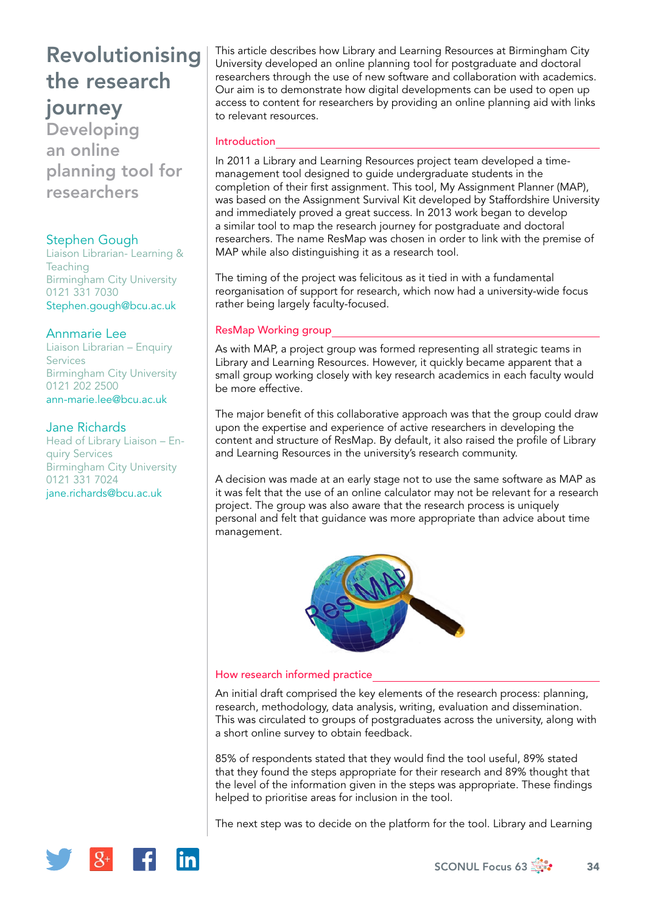Developing an online planning tool for researchers

## Stephen Gough

Liaison Librarian- Learning & **Teaching** Birmingham City University 0121 331 7030 [Stephen.gough@bcu.ac.uk](mailto:Stephen.gough@bcu.ac.uk)

## Annmarie Lee

Liaison Librarian – Enquiry **Services** Birmingham City University 0121 202 2500 [ann-marie.lee@bcu.ac.uk](mailto:ann-marie.lee@bcu.ac.uk)

## Jane Richards

Head of Library Liaison – Enquiry Services Birmingham City University 0121 331 7024 [jane.richards@bcu.ac.uk](mailto:jane.richards@bcu.ac.uk)

This article describes how Library and Learning Resources at Birmingham City University developed an online planning tool for postgraduate and doctoral researchers through the use of new software and collaboration with academics. Our aim is to demonstrate how digital developments can be used to open up access to content for researchers by providing an online planning aid with links to relevant resources.

### **Introduction**

In 2011 a Library and Learning Resources project team developed a timemanagement tool designed to guide undergraduate students in the completion of their first assignment. This tool, My Assignment Planner (MAP), was based on the Assignment Survival Kit developed by Staffordshire University and immediately proved a great success. In 2013 work began to develop a similar tool to map the research journey for postgraduate and doctoral researchers. The name ResMap was chosen in order to link with the premise of MAP while also distinguishing it as a research tool.

The timing of the project was felicitous as it tied in with a fundamental reorganisation of support for research, which now had a university-wide focus rather being largely faculty-focused.

## ResMap Working group

As with MAP, a project group was formed representing all strategic teams in Library and Learning Resources. However, it quickly became apparent that a small group working closely with key research academics in each faculty would be more effective.

The major benefit of this collaborative approach was that the group could draw upon the expertise and experience of active researchers in developing the content and structure of ResMap. By default, it also raised the profile of Library and Learning Resources in the university's research community.

A decision was made at an early stage not to use the same software as MAP as it was felt that the use of an online calculator may not be relevant for a research project. The group was also aware that the research process is uniquely personal and felt that guidance was more appropriate than advice about time management.



#### How research informed practice

An initial draft comprised the key elements of the research process: planning, research, methodology, data analysis, writing, evaluation and dissemination. This was circulated to groups of postgraduates across the university, along with a short online survey to obtain feedback.

85% of respondents stated that they would find the tool useful, 89% stated that they found the steps appropriate for their research and 89% thought that the level of the information given in the steps was appropriate. These findings helped to prioritise areas for inclusion in the tool.

The next step was to decide on the platform for the tool. Library and Learning

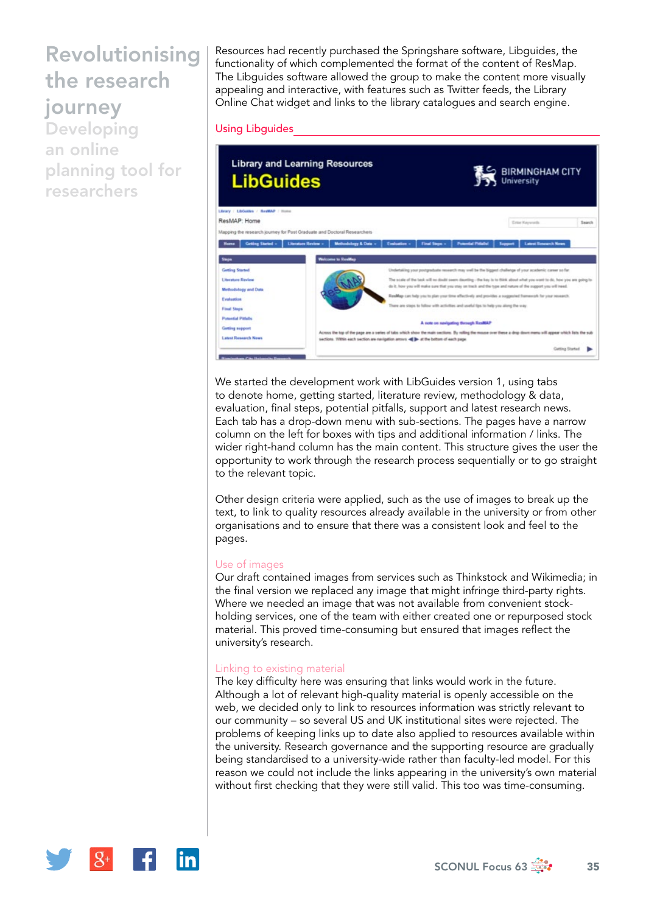Developing an online planning tool for researchers

Resources had recently purchased the Springshare software, Libguides, the functionality of which complemented the format of the content of ResMap. The Libguides software allowed the group to make the content more visually appealing and interactive, with features such as Twitter feeds, the Library Online Chat widget and links to the library catalogues and search engine.

#### Using Libguides



We started the development work with LibGuides version 1, using tabs to denote home, getting started, literature review, methodology & data, evaluation, final steps, potential pitfalls, support and latest research news. Each tab has a drop-down menu with sub-sections. The pages have a narrow column on the left for boxes with tips and additional information / links. The wider right-hand column has the main content. This structure gives the user the opportunity to work through the research process sequentially or to go straight to the relevant topic.

Other design criteria were applied, such as the use of images to break up the text, to link to quality resources already available in the university or from other organisations and to ensure that there was a consistent look and feel to the pages.

#### Use of images

Our draft contained images from services such as Thinkstock and Wikimedia; in the final version we replaced any image that might infringe third-party rights. Where we needed an image that was not available from convenient stockholding services, one of the team with either created one or repurposed stock material. This proved time-consuming but ensured that images reflect the university's research.

#### Linking to existing material

The key difficulty here was ensuring that links would work in the future. Although a lot of relevant high-quality material is openly accessible on the web, we decided only to link to resources information was strictly relevant to our community – so several US and UK institutional sites were rejected. The problems of keeping links up to date also applied to resources available within the university. Research governance and the supporting resource are gradually being standardised to a university-wide rather than faculty-led model. For this reason we could not include the links appearing in the university's own material without first checking that they were still valid. This too was time-consuming.

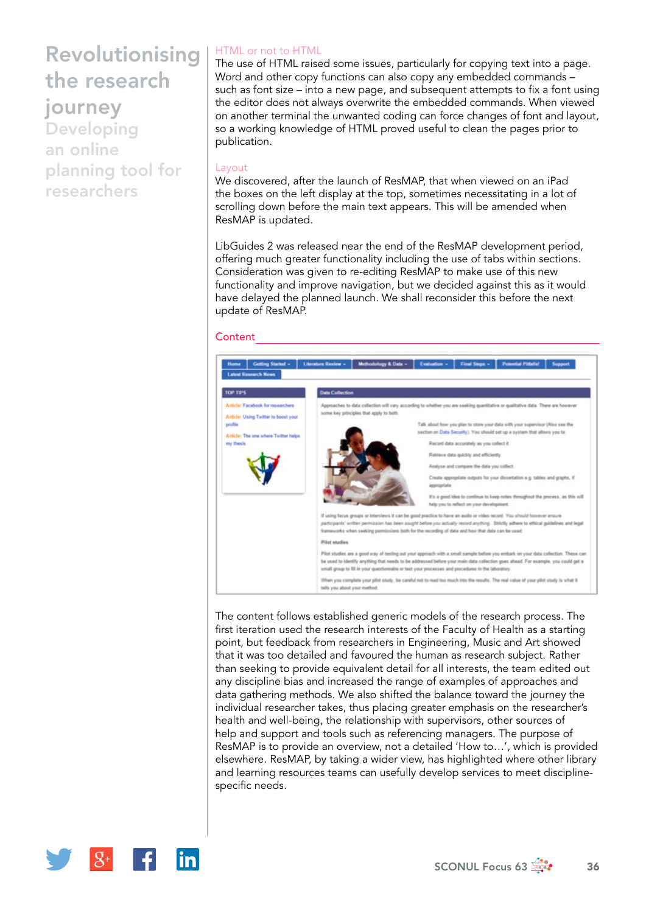Developing an online planning tool for researchers

## HTML or not to HTML

The use of HTML raised some issues, particularly for copying text into a page. Word and other copy functions can also copy any embedded commands – such as font size – into a new page, and subsequent attempts to fix a font using the editor does not always overwrite the embedded commands. When viewed on another terminal the unwanted coding can force changes of font and layout, so a working knowledge of HTML proved useful to clean the pages prior to publication.

#### Layout

We discovered, after the launch of ResMAP, that when viewed on an iPad the boxes on the left display at the top, sometimes necessitating in a lot of scrolling down before the main text appears. This will be amended when ResMAP is updated.

LibGuides 2 was released near the end of the ResMAP development period, offering much greater functionality including the use of tabs within sections. Consideration was given to re-editing ResMAP to make use of this new functionality and improve navigation, but we decided against this as it would have delayed the planned launch. We shall reconsider this before the next update of ResMAP.

#### **Content**



The content follows established generic models of the research process. The first iteration used the research interests of the Faculty of Health as a starting point, but feedback from researchers in Engineering, Music and Art showed that it was too detailed and favoured the human as research subject. Rather than seeking to provide equivalent detail for all interests, the team edited out any discipline bias and increased the range of examples of approaches and data gathering methods. We also shifted the balance toward the journey the individual researcher takes, thus placing greater emphasis on the researcher's health and well-being, the relationship with supervisors, other sources of help and support and tools such as referencing managers. The purpose of ResMAP is to provide an overview, not a detailed 'How to…', which is provided elsewhere. ResMAP, by taking a wider view, has highlighted where other library and learning resources teams can usefully develop services to meet disciplinespecific needs.